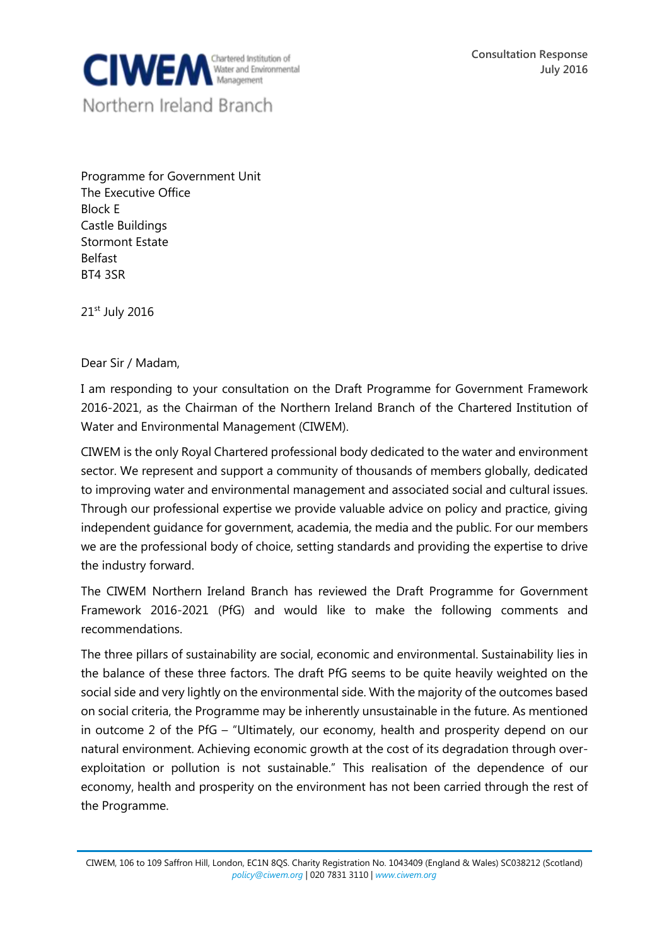

Programme for Government Unit The Executive Office Block E Castle Buildings Stormont Estate Belfast BT4 3SR

21st July 2016

Dear Sir / Madam,

I am responding to your consultation on the Draft Programme for Government Framework 2016-2021, as the Chairman of the Northern Ireland Branch of the Chartered Institution of Water and Environmental Management (CIWEM).

CIWEM is the only Royal Chartered professional body dedicated to the water and environment sector. We represent and support a community of thousands of members globally, dedicated to improving water and environmental management and associated social and cultural issues. Through our professional expertise we provide valuable advice on policy and practice, giving independent guidance for government, academia, the media and the public. For our members we are the professional body of choice, setting standards and providing the expertise to drive the industry forward.

The CIWEM Northern Ireland Branch has reviewed the Draft Programme for Government Framework 2016-2021 (PfG) and would like to make the following comments and recommendations.

The three pillars of sustainability are social, economic and environmental. Sustainability lies in the balance of these three factors. The draft PfG seems to be quite heavily weighted on the social side and very lightly on the environmental side. With the majority of the outcomes based on social criteria, the Programme may be inherently unsustainable in the future. As mentioned in outcome 2 of the PfG – "Ultimately, our economy, health and prosperity depend on our natural environment. Achieving economic growth at the cost of its degradation through overexploitation or pollution is not sustainable." This realisation of the dependence of our economy, health and prosperity on the environment has not been carried through the rest of the Programme.

CIWEM, 106 to 109 Saffron Hill, London, EC1N 8QS. Charity Registration No. 1043409 (England & Wales) SC038212 (Scotland) *[policy@ciwem.org](mailto:policy@ciwem.org)* | 020 7831 3110 | *[www.ciwem.org](http://www.ciwem.org/)*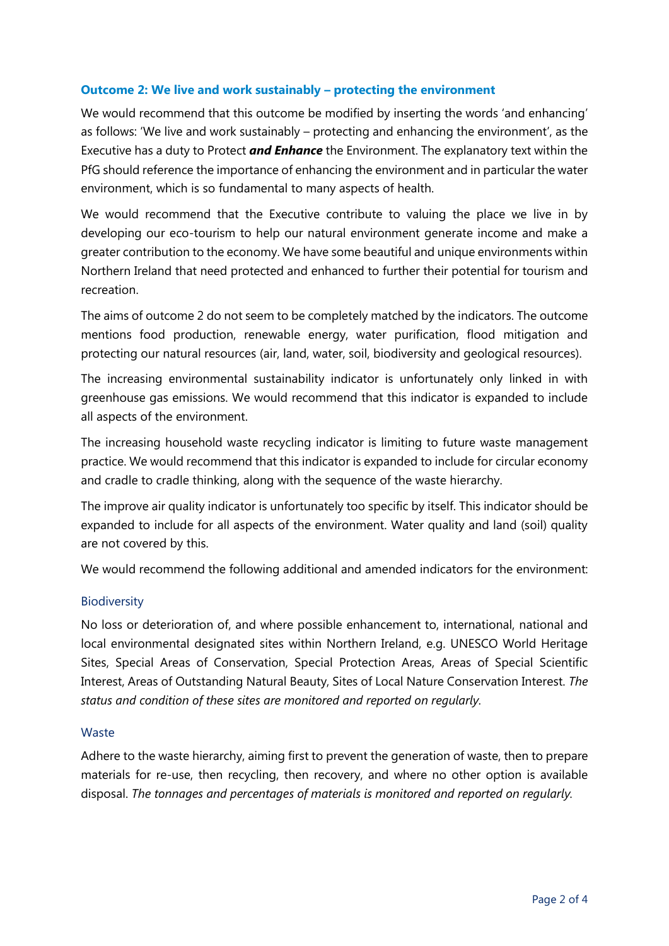## **Outcome 2: We live and work sustainably – protecting the environment**

We would recommend that this outcome be modified by inserting the words 'and enhancing' as follows: 'We live and work sustainably – protecting and enhancing the environment', as the Executive has a duty to Protect *and Enhance* the Environment. The explanatory text within the PfG should reference the importance of enhancing the environment and in particular the water environment, which is so fundamental to many aspects of health.

We would recommend that the Executive contribute to valuing the place we live in by developing our eco-tourism to help our natural environment generate income and make a greater contribution to the economy. We have some beautiful and unique environments within Northern Ireland that need protected and enhanced to further their potential for tourism and recreation.

The aims of outcome 2 do not seem to be completely matched by the indicators. The outcome mentions food production, renewable energy, water purification, flood mitigation and protecting our natural resources (air, land, water, soil, biodiversity and geological resources).

The increasing environmental sustainability indicator is unfortunately only linked in with greenhouse gas emissions. We would recommend that this indicator is expanded to include all aspects of the environment.

The increasing household waste recycling indicator is limiting to future waste management practice. We would recommend that this indicator is expanded to include for circular economy and cradle to cradle thinking, along with the sequence of the waste hierarchy.

The improve air quality indicator is unfortunately too specific by itself. This indicator should be expanded to include for all aspects of the environment. Water quality and land (soil) quality are not covered by this.

We would recommend the following additional and amended indicators for the environment:

## **Biodiversity**

No loss or deterioration of, and where possible enhancement to, international, national and local environmental designated sites within Northern Ireland, e.g. UNESCO World Heritage Sites, Special Areas of Conservation, Special Protection Areas, Areas of Special Scientific Interest, Areas of Outstanding Natural Beauty, Sites of Local Nature Conservation Interest. *The status and condition of these sites are monitored and reported on regularly.*

## **Waste**

Adhere to the waste hierarchy, aiming first to prevent the generation of waste, then to prepare materials for re-use, then recycling, then recovery, and where no other option is available disposal. *The tonnages and percentages of materials is monitored and reported on regularly.*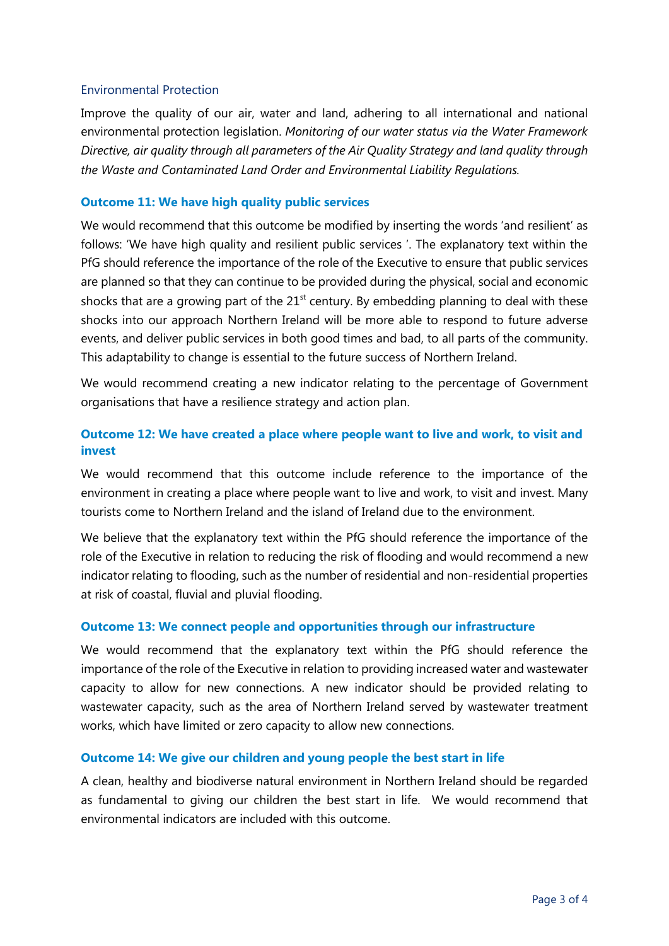## Environmental Protection

Improve the quality of our air, water and land, adhering to all international and national environmental protection legislation. *Monitoring of our water status via the Water Framework Directive, air quality through all parameters of the Air Quality Strategy and land quality through the Waste and Contaminated Land Order and Environmental Liability Regulations.*

## **Outcome 11: We have high quality public services**

We would recommend that this outcome be modified by inserting the words 'and resilient' as follows: 'We have high quality and resilient public services '. The explanatory text within the PfG should reference the importance of the role of the Executive to ensure that public services are planned so that they can continue to be provided during the physical, social and economic shocks that are a growing part of the  $21<sup>st</sup>$  century. By embedding planning to deal with these shocks into our approach Northern Ireland will be more able to respond to future adverse events, and deliver public services in both good times and bad, to all parts of the community. This adaptability to change is essential to the future success of Northern Ireland.

We would recommend creating a new indicator relating to the percentage of Government organisations that have a resilience strategy and action plan.

# **Outcome 12: We have created a place where people want to live and work, to visit and invest**

We would recommend that this outcome include reference to the importance of the environment in creating a place where people want to live and work, to visit and invest. Many tourists come to Northern Ireland and the island of Ireland due to the environment.

We believe that the explanatory text within the PfG should reference the importance of the role of the Executive in relation to reducing the risk of flooding and would recommend a new indicator relating to flooding, such as the number of residential and non-residential properties at risk of coastal, fluvial and pluvial flooding.

## **Outcome 13: We connect people and opportunities through our infrastructure**

We would recommend that the explanatory text within the PfG should reference the importance of the role of the Executive in relation to providing increased water and wastewater capacity to allow for new connections. A new indicator should be provided relating to wastewater capacity, such as the area of Northern Ireland served by wastewater treatment works, which have limited or zero capacity to allow new connections.

## **Outcome 14: We give our children and young people the best start in life**

A clean, healthy and biodiverse natural environment in Northern Ireland should be regarded as fundamental to giving our children the best start in life. We would recommend that environmental indicators are included with this outcome.